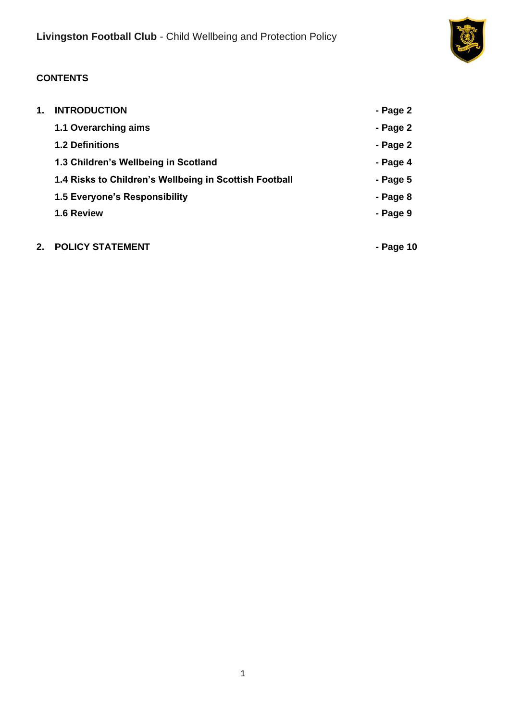

# **CONTENTS**

| 1. | <b>INTRODUCTION</b>                                    | - Page 2   |
|----|--------------------------------------------------------|------------|
|    | 1.1 Overarching aims                                   | - Page 2   |
|    | <b>1.2 Definitions</b>                                 | - Page 2   |
|    | 1.3 Children's Wellbeing in Scotland                   | - Page 4   |
|    | 1.4 Risks to Children's Wellbeing in Scottish Football | - Page $5$ |
|    | 1.5 Everyone's Responsibility                          | - Page 8   |
|    | 1.6 Review                                             | - Page 9   |
|    |                                                        |            |

# **2. POLICY STATEMENT - Page 10**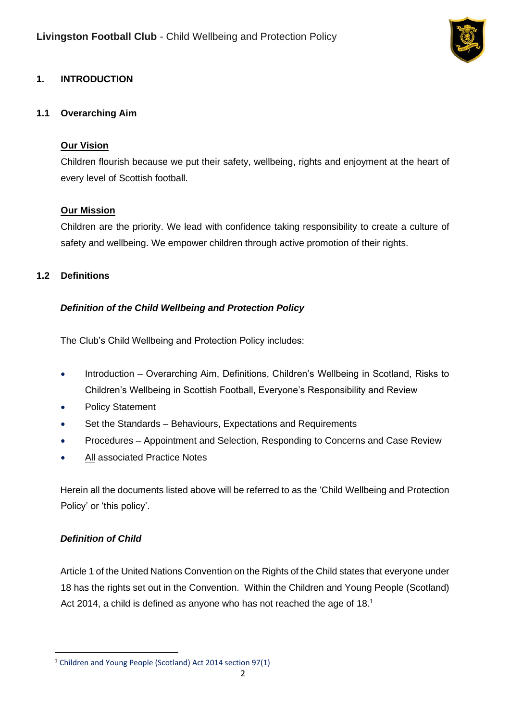

# **1. INTRODUCTION**

#### **1.1 Overarching Aim**

### **Our Vision**

Children flourish because we put their safety, wellbeing, rights and enjoyment at the heart of every level of Scottish football.

### **Our Mission**

Children are the priority. We lead with confidence taking responsibility to create a culture of safety and wellbeing. We empower children through active promotion of their rights.

### **1.2 Definitions**

### *Definition of the Child Wellbeing and Protection Policy*

The Club's Child Wellbeing and Protection Policy includes:

- Introduction Overarching Aim, Definitions, Children's Wellbeing in Scotland, Risks to Children's Wellbeing in Scottish Football, Everyone's Responsibility and Review
- Policy Statement
- Set the Standards Behaviours, Expectations and Requirements
- Procedures Appointment and Selection, Responding to Concerns and Case Review
- All associated Practice Notes

Herein all the documents listed above will be referred to as the 'Child Wellbeing and Protection Policy' or 'this policy'.

## *Definition of Child*

Article 1 of the United Nations Convention on the Rights of the Child states that everyone under 18 has the rights set out in the Convention. Within the Children and Young People (Scotland) Act 2014, a child is defined as anyone who has not reached the age of 18.<sup>1</sup>

<sup>1</sup> Children and Young People (Scotland) Act 2014 section 97(1)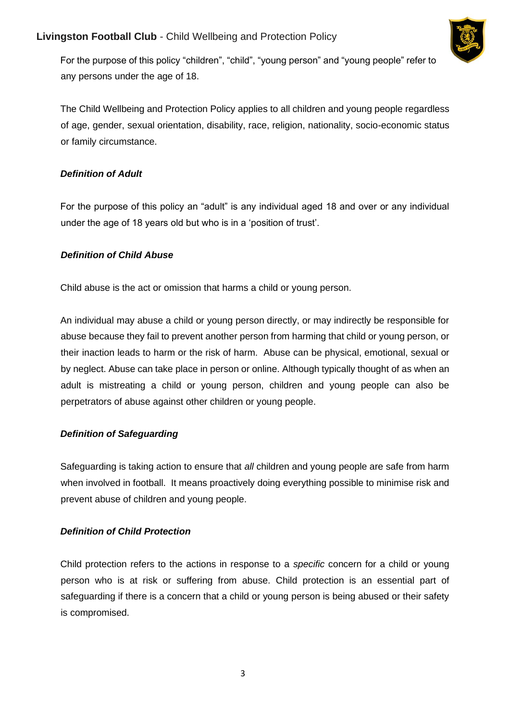## **Livingston Football Club** - Child Wellbeing and Protection Policy



For the purpose of this policy "children", "child", "young person" and "young people" refer to any persons under the age of 18.

The Child Wellbeing and Protection Policy applies to all children and young people regardless of age, gender, sexual orientation, disability, race, religion, nationality, socio-economic status or family circumstance.

### *Definition of Adult*

For the purpose of this policy an "adult" is any individual aged 18 and over or any individual under the age of 18 years old but who is in a 'position of trust'.

### *Definition of Child Abuse*

Child abuse is the act or omission that harms a child or young person.

An individual may abuse a child or young person directly, or may indirectly be responsible for abuse because they fail to prevent another person from harming that child or young person, or their inaction leads to harm or the risk of harm. Abuse can be physical, emotional, sexual or by neglect. Abuse can take place in person or online. Although typically thought of as when an adult is mistreating a child or young person, children and young people can also be perpetrators of abuse against other children or young people.

## *Definition of Safeguarding*

Safeguarding is taking action to ensure that *all* children and young people are safe from harm when involved in football. It means proactively doing everything possible to minimise risk and prevent abuse of children and young people.

## *Definition of Child Protection*

Child protection refers to the actions in response to a *specific* concern for a child or young person who is at risk or suffering from abuse. Child protection is an essential part of safeguarding if there is a concern that a child or young person is being abused or their safety is compromised.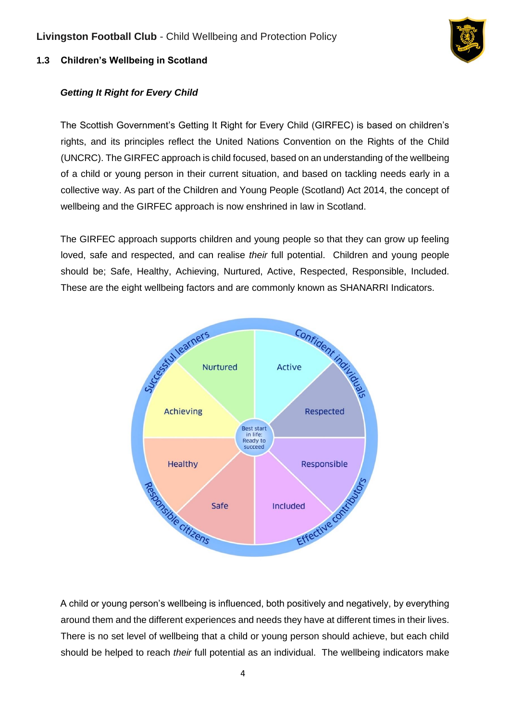

## **1.3 Children's Wellbeing in Scotland**

## *Getting It Right for Every Child*

The Scottish Government's Getting It Right for Every Child (GIRFEC) is based on children's rights, and its principles reflect the United Nations Convention on the Rights of the Child (UNCRC). The GIRFEC approach is child focused, based on an understanding of the wellbeing of a child or young person in their current situation, and based on tackling needs early in a collective way. As part of the Children and Young People (Scotland) Act 2014, the concept of wellbeing and the GIRFEC approach is now enshrined in law in Scotland.

The GIRFEC approach supports children and young people so that they can grow up feeling loved, safe and respected, and can realise *their* full potential. Children and young people should be; Safe, Healthy, Achieving, Nurtured, Active, Respected, Responsible, Included. These are the eight wellbeing factors and are commonly known as SHANARRI Indicators.



A child or young person's wellbeing is influenced, both positively and negatively, by everything around them and the different experiences and needs they have at different times in their lives. There is no set level of wellbeing that a child or young person should achieve, but each child should be helped to reach *their* full potential as an individual. The wellbeing indicators make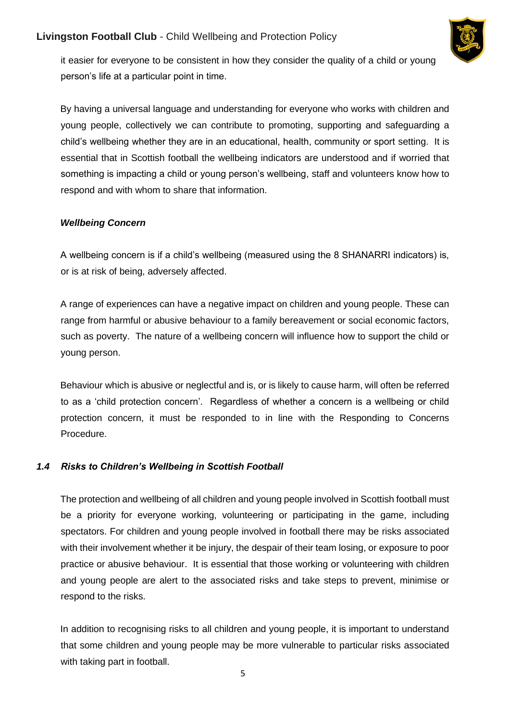

it easier for everyone to be consistent in how they consider the quality of a child or young person's life at a particular point in time.

By having a universal language and understanding for everyone who works with children and young people, collectively we can contribute to promoting, supporting and safeguarding a child's wellbeing whether they are in an educational, health, community or sport setting. It is essential that in Scottish football the wellbeing indicators are understood and if worried that something is impacting a child or young person's wellbeing, staff and volunteers know how to respond and with whom to share that information.

### *Wellbeing Concern*

A wellbeing concern is if a child's wellbeing (measured using the 8 SHANARRI indicators) is, or is at risk of being, adversely affected.

A range of experiences can have a negative impact on children and young people. These can range from harmful or abusive behaviour to a family bereavement or social economic factors, such as poverty. The nature of a wellbeing concern will influence how to support the child or young person.

Behaviour which is abusive or neglectful and is, or is likely to cause harm, will often be referred to as a 'child protection concern'. Regardless of whether a concern is a wellbeing or child protection concern, it must be responded to in line with the Responding to Concerns Procedure.

## *1.4 Risks to Children's Wellbeing in Scottish Football*

The protection and wellbeing of all children and young people involved in Scottish football must be a priority for everyone working, volunteering or participating in the game, including spectators. For children and young people involved in football there may be risks associated with their involvement whether it be injury, the despair of their team losing, or exposure to poor practice or abusive behaviour. It is essential that those working or volunteering with children and young people are alert to the associated risks and take steps to prevent, minimise or respond to the risks.

In addition to recognising risks to all children and young people, it is important to understand that some children and young people may be more vulnerable to particular risks associated with taking part in football.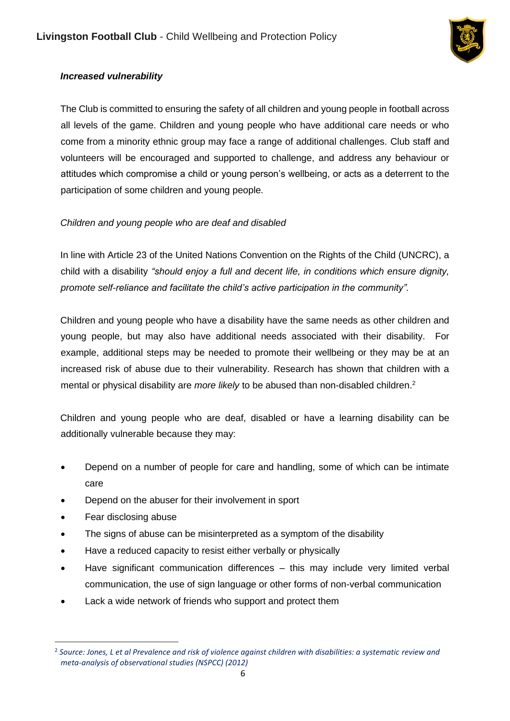

## *Increased vulnerability*

The Club is committed to ensuring the safety of all children and young people in football across all levels of the game. Children and young people who have additional care needs or who come from a minority ethnic group may face a range of additional challenges. Club staff and volunteers will be encouraged and supported to challenge, and address any behaviour or attitudes which compromise a child or young person's wellbeing, or acts as a deterrent to the participation of some children and young people.

## *Children and young people who are deaf and disabled*

In line with Article 23 of the United Nations Convention on the Rights of the Child (UNCRC), a child with a disability *"should enjoy a full and decent life, in conditions which ensure dignity, promote self-reliance and facilitate the child's active participation in the community".* 

Children and young people who have a disability have the same needs as other children and young people, but may also have additional needs associated with their disability. For example, additional steps may be needed to promote their wellbeing or they may be at an increased risk of abuse due to their vulnerability. Research has shown that children with a mental or physical disability are *more likely* to be abused than non-disabled children.<sup>2</sup>

Children and young people who are deaf, disabled or have a learning disability can be additionally vulnerable because they may:

- Depend on a number of people for care and handling, some of which can be intimate care
- Depend on the abuser for their involvement in sport
- Fear disclosing abuse
- The signs of abuse can be misinterpreted as a symptom of the disability
- Have a reduced capacity to resist either verbally or physically
- Have significant communication differences this may include very limited verbal communication, the use of sign language or other forms of non-verbal communication
- Lack a wide network of friends who support and protect them

<sup>2</sup> *Source: Jones, L et al Prevalence and risk of violence against children with disabilities: a systematic review and meta-analysis of observational studies (NSPCC) (2012)*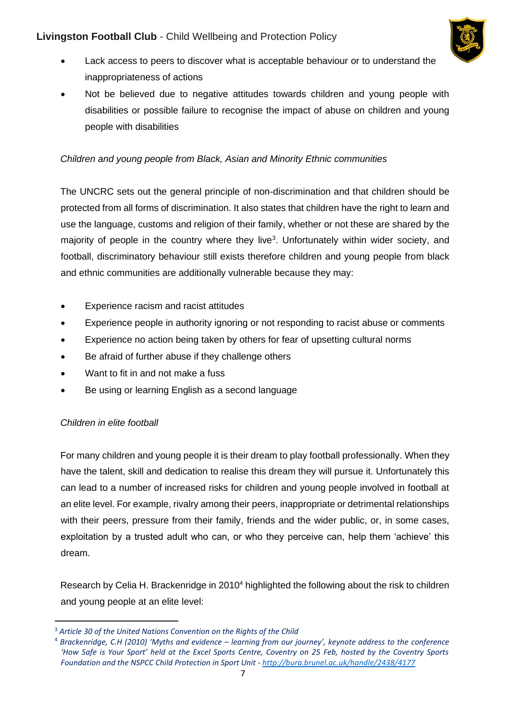

- Lack access to peers to discover what is acceptable behaviour or to understand the inappropriateness of actions
- Not be believed due to negative attitudes towards children and young people with disabilities or possible failure to recognise the impact of abuse on children and young people with disabilities

## *Children and young people from Black, Asian and Minority Ethnic communities*

The UNCRC sets out the general principle of non-discrimination and that children should be protected from all forms of discrimination. It also states that children have the right to learn and use the language, customs and religion of their family, whether or not these are shared by the majority of people in the country where they live<sup>3</sup>. Unfortunately within wider society, and football, discriminatory behaviour still exists therefore children and young people from black and ethnic communities are additionally vulnerable because they may:

- Experience racism and racist attitudes
- Experience people in authority ignoring or not responding to racist abuse or comments
- Experience no action being taken by others for fear of upsetting cultural norms
- Be afraid of further abuse if they challenge others
- Want to fit in and not make a fuss
- Be using or learning English as a second language

#### *Children in elite football*

For many children and young people it is their dream to play football professionally. When they have the talent, skill and dedication to realise this dream they will pursue it. Unfortunately this can lead to a number of increased risks for children and young people involved in football at an elite level. For example, rivalry among their peers, inappropriate or detrimental relationships with their peers, pressure from their family, friends and the wider public, or, in some cases, exploitation by a trusted adult who can, or who they perceive can, help them 'achieve' this dream.

Research by Celia H. Brackenridge in 2010<sup>4</sup> highlighted the following about the risk to children and young people at an elite level:

<sup>3</sup> *Article 30 of the United Nations Convention on the Rights of the Child*

<sup>4</sup> *Brackenridge, C.H (2010) 'Myths and evidence – learning from our journey', keynote address to the conference 'How Safe is Your Sport' held at the Excel Sports Centre, Coventry on 25 Feb, hosted by the Coventry Sports Foundation and the NSPCC Child Protection in Sport Unit - <http://bura.brunel.ac.uk/handle/2438/4177>*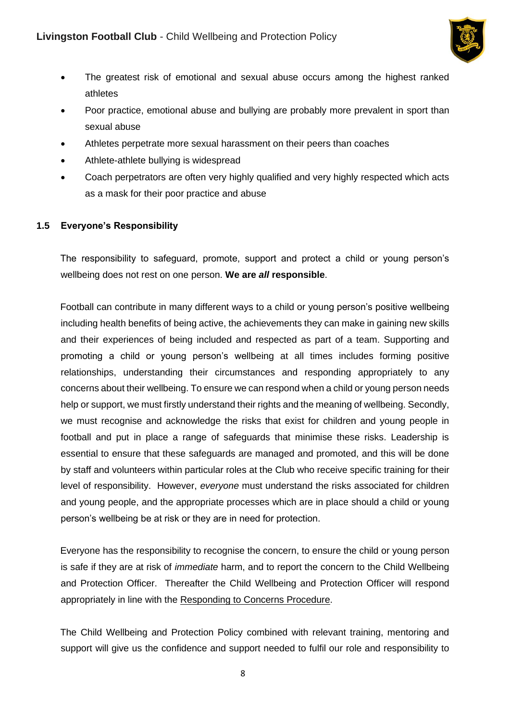

- The greatest risk of emotional and sexual abuse occurs among the highest ranked athletes
- Poor practice, emotional abuse and bullying are probably more prevalent in sport than sexual abuse
- Athletes perpetrate more sexual harassment on their peers than coaches
- Athlete-athlete bullying is widespread
- Coach perpetrators are often very highly qualified and very highly respected which acts as a mask for their poor practice and abuse

#### **1.5 Everyone's Responsibility**

The responsibility to safeguard, promote, support and protect a child or young person's wellbeing does not rest on one person. **We are** *all* **responsible**.

Football can contribute in many different ways to a child or young person's positive wellbeing including health benefits of being active, the achievements they can make in gaining new skills and their experiences of being included and respected as part of a team. Supporting and promoting a child or young person's wellbeing at all times includes forming positive relationships, understanding their circumstances and responding appropriately to any concerns about their wellbeing. To ensure we can respond when a child or young person needs help or support, we must firstly understand their rights and the meaning of wellbeing. Secondly, we must recognise and acknowledge the risks that exist for children and young people in football and put in place a range of safeguards that minimise these risks. Leadership is essential to ensure that these safeguards are managed and promoted, and this will be done by staff and volunteers within particular roles at the Club who receive specific training for their level of responsibility. However, *everyone* must understand the risks associated for children and young people, and the appropriate processes which are in place should a child or young person's wellbeing be at risk or they are in need for protection.

Everyone has the responsibility to recognise the concern, to ensure the child or young person is safe if they are at risk of *immediate* harm, and to report the concern to the Child Wellbeing and Protection Officer. Thereafter the Child Wellbeing and Protection Officer will respond appropriately in line with the Responding to Concerns Procedure.

The Child Wellbeing and Protection Policy combined with relevant training, mentoring and support will give us the confidence and support needed to fulfil our role and responsibility to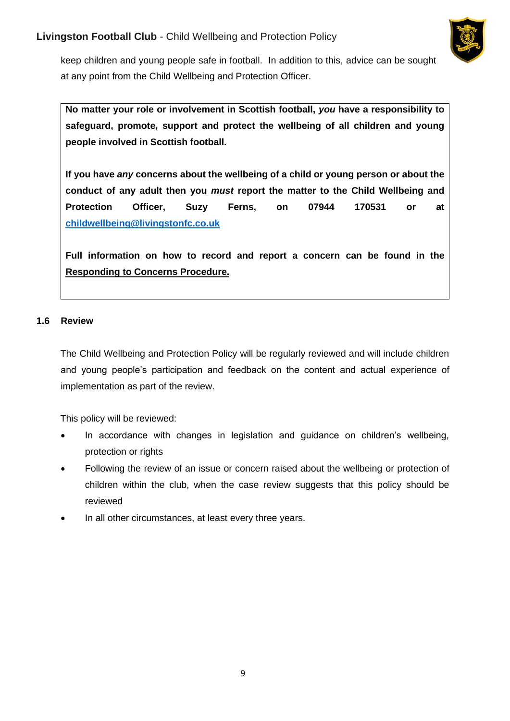

keep children and young people safe in football. In addition to this, advice can be sought at any point from the Child Wellbeing and Protection Officer.

**No matter your role or involvement in Scottish football,** *you* **have a responsibility to safeguard, promote, support and protect the wellbeing of all children and young people involved in Scottish football.** 

**If you have** *any* **concerns about the wellbeing of a child or young person or about the conduct of any adult then you** *must* **report the matter to the Child Wellbeing and Protection Officer, Suzy Ferns, on 07944 170531 or at [childwellbeing@livingstonfc.co.uk](mailto:childwellbeing@livingstonfc.co.uk)**

**Full information on how to record and report a concern can be found in the Responding to Concerns Procedure.**

### **1.6 Review**

The Child Wellbeing and Protection Policy will be regularly reviewed and will include children and young people's participation and feedback on the content and actual experience of implementation as part of the review.

This policy will be reviewed:

- In accordance with changes in legislation and guidance on children's wellbeing, protection or rights
- Following the review of an issue or concern raised about the wellbeing or protection of children within the club, when the case review suggests that this policy should be reviewed
- In all other circumstances, at least every three years.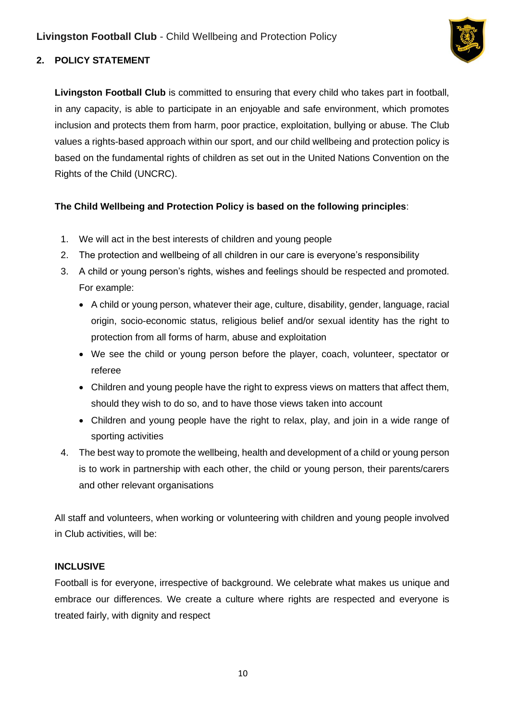

# **2. POLICY STATEMENT**

**Livingston Football Club** is committed to ensuring that every child who takes part in football, in any capacity, is able to participate in an enjoyable and safe environment, which promotes inclusion and protects them from harm, poor practice, exploitation, bullying or abuse. The Club values a rights-based approach within our sport, and our child wellbeing and protection policy is based on the fundamental rights of children as set out in the United Nations Convention on the Rights of the Child (UNCRC).

## **The Child Wellbeing and Protection Policy is based on the following principles**:

- 1. We will act in the best interests of children and young people
- 2. The protection and wellbeing of all children in our care is everyone's responsibility
- 3. A child or young person's rights, wishes and feelings should be respected and promoted. For example:
	- A child or young person, whatever their age, culture, disability, gender, language, racial origin, socio-economic status, religious belief and/or sexual identity has the right to protection from all forms of harm, abuse and exploitation
	- We see the child or young person before the player, coach, volunteer, spectator or referee
	- Children and young people have the right to express views on matters that affect them, should they wish to do so, and to have those views taken into account
	- Children and young people have the right to relax, play, and join in a wide range of sporting activities
- 4. The best way to promote the wellbeing, health and development of a child or young person is to work in partnership with each other, the child or young person, their parents/carers and other relevant organisations

All staff and volunteers, when working or volunteering with children and young people involved in Club activities, will be:

#### **INCLUSIVE**

Football is for everyone, irrespective of background. We celebrate what makes us unique and embrace our differences. We create a culture where rights are respected and everyone is treated fairly, with dignity and respect